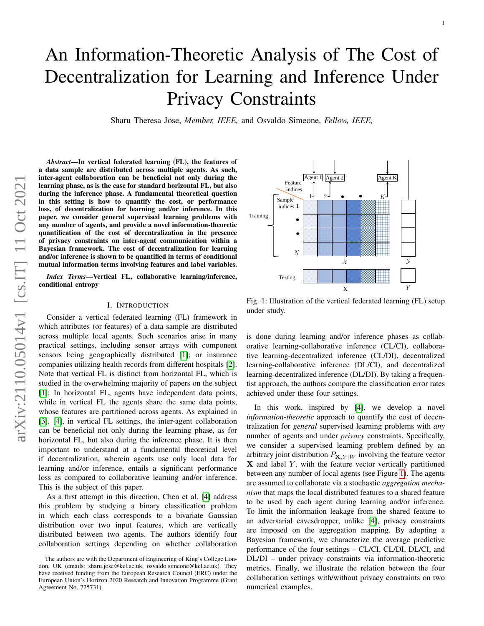# An Information-Theoretic Analysis of The Cost of Decentralization for Learning and Inference Under Privacy Constraints

Sharu Theresa Jose, *Member, IEEE,* and Osvaldo Simeone, *Fellow, IEEE,*

*Abstract*—In vertical federated learning (FL), the features of a data sample are distributed across multiple agents. As such, inter-agent collaboration can be beneficial not only during the learning phase, as is the case for standard horizontal FL, but also during the inference phase. A fundamental theoretical question in this setting is how to quantify the cost, or performance loss, of decentralization for learning and/or inference. In this paper, we consider general supervised learning problems with any number of agents, and provide a novel information-theoretic quantification of the cost of decentralization in the presence of privacy constraints on inter-agent communication within a Bayesian framework. The cost of decentralization for learning and/or inference is shown to be quantified in terms of conditional mutual information terms involving features and label variables.

*Index Terms*—Vertical FL, collaborative learning/inference, conditional entropy

#### I. INTRODUCTION

Consider a vertical federated learning (FL) framework in which attributes (or features) of a data sample are distributed across multiple local agents. Such scenarios arise in many practical settings, including sensor arrays with component sensors being geographically distributed [\[1\]](#page-4-0); or insurance companies utilizing health records from different hospitals [\[2\]](#page-4-1). Note that vertical FL is distinct from horizontal FL, which is studied in the overwhelming majority of papers on the subject [\[1\]](#page-4-0): In horizontal FL, agents have independent data points, while in vertical FL the agents share the same data points, whose features are partitioned across agents. As explained in [\[3\]](#page-4-2), [\[4\]](#page-4-3), in vertical FL settings, the inter-agent collaboration can be beneficial not only during the learning phase, as for horizontal FL, but also during the inference phase. It is then important to understand at a fundamental theoretical level if decentralization, wherein agents use only local data for learning and/or inference, entails a significant performance loss as compared to collaborative learning and/or inference. This is the subject of this paper.

As a first attempt in this direction, Chen et al. [\[4\]](#page-4-3) address this problem by studying a binary classification problem in which each class corresponds to a bivariate Gaussian distribution over two input features, which are vertically distributed between two agents. The authors identify four collaboration settings depending on whether collaboration

<span id="page-0-0"></span>

1

Fig. 1: Illustration of the vertical federated learning (FL) setup under study.

is done during learning and/or inference phases as collaborative learning-collaborative inference (CL/CI), collaborative learning-decentralized inference (CL/DI), decentralized learning-collaborative inference (DL/CI), and decentralized learning-decentralized inference (DL/DI). By taking a frequentist approach, the authors compare the classification error rates achieved under these four settings.

In this work, inspired by [\[4\]](#page-4-3), we develop a novel *information-theoretic* approach to quantify the cost of decentralization for *general* supervised learning problems with *any* number of agents and under *privacy* constraints. Specifically, we consider a supervised learning problem defined by an arbitrary joint distribution  $P_{\mathbf{X},Y|W}$  involving the feature vector  $X$  and label  $Y$ , with the feature vector vertically partitioned between any number of local agents (see Figure [1\)](#page-0-0). The agents are assumed to collaborate via a stochastic *aggregation mechanism* that maps the local distributed features to a shared feature to be used by each agent during learning and/or inference. To limit the information leakage from the shared feature to an adversarial eavesdropper, unlike [\[4\]](#page-4-3), privacy constraints are imposed on the aggregation mapping. By adopting a Bayesian framework, we characterize the average predictive performance of the four settings – CL/CI, CL/DI, DL/CI, and DL/DI – under privacy constraints via information-theoretic metrics. Finally, we illustrate the relation between the four collaboration settings with/without privacy constraints on two numerical examples.

The authors are with the Department of Engineering of King's College London, UK (emails: sharu.jose@kcl.ac.uk, osvaldo.simeone@kcl.ac.uk). They have received funding from the European Research Council (ERC) under the European Union's Horizon 2020 Research and Innovation Programme (Grant Agreement No. 725731).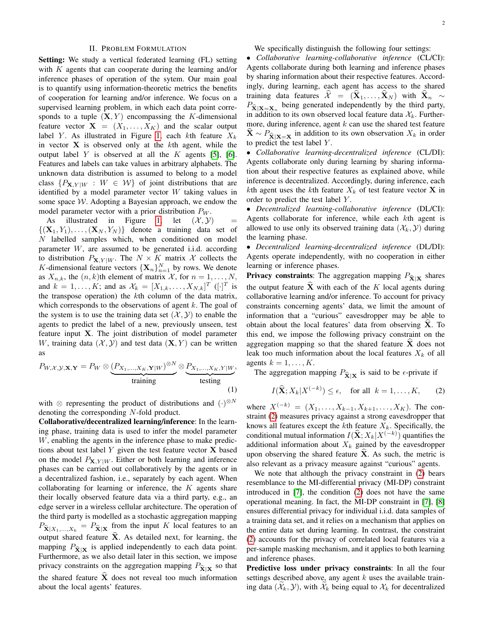#### II. PROBLEM FORMULATION

Setting: We study a vertical federated learning (FL) setting with  $K$  agents that can cooperate during the learning and/or inference phases of operation of the sytem. Our main goal is to quantify using information-theoretic metrics the benefits of cooperation for learning and/or inference. We focus on a supervised learning problem, in which each data point corresponds to a tuple  $(X, Y)$  encompassing the K-dimensional feature vector  $X = (X_1, \ldots, X_K)$  and the scalar output label Y. As illustrated in Figure [1,](#page-0-0) each kth feature  $X_k$ in vector  $X$  is observed only at the  $k$ th agent, while the output label Y is observed at all the K agents [\[5\]](#page-4-4), [\[6\]](#page-4-5). Features and labels can take values in arbitrary alphabets. The unknown data distribution is assumed to belong to a model class  $\{P_{\mathbf{X},Y|W} : W \in \mathcal{W}\}\$  of joint distributions that are identified by a model parameter vector W taking values in some space  $W$ . Adopting a Bayesian approach, we endow the model parameter vector with a prior distribution  $P_W$ .

As illustrated in Figure [1,](#page-0-0) let  $(\mathcal{X}, \mathcal{Y})$  =  $\{(\mathbf{X}_1, Y_1), \ldots, (\mathbf{X}_N, Y_N)\}\$  denote a training data set of N labelled samples which, when conditioned on model parameter W, are assumed to be generated i.i.d. according to distribution  $P_{\mathbf{X}, Y | W}$ . The  $N \times K$  matrix X collects the K-dimensional feature vectors  $\{X_n\}_{n=1}^N$  by rows. We denote as  $X_{n,k}$ , the  $(n, k)$ th element of matrix  $\mathcal{X}$ , for  $n = 1, \ldots, N$ , and  $k = 1, \ldots, K$ ; and as  $\mathcal{X}_k = [X_{1,k}, \ldots, X_{N,k}]^T$  ([ $\cdot$ ]<sup>T</sup> is the transpose operation) the  $k$ th column of the data matrix, which corresponds to the observations of agent  $k$ . The goal of the system is to use the training data set  $(\mathcal{X}, \mathcal{Y})$  to enable the agents to predict the label of a new, previously unseen, test feature input X. The joint distribution of model parameter W, training data  $(\mathcal{X}, \mathcal{Y})$  and test data  $(X, Y)$  can be written as

$$
P_{W,X,Y,\mathbf{X},\mathbf{Y}} = P_W \otimes \underbrace{(P_{X_1,\ldots,X_K,\mathbf{Y}|W})^{\otimes N}}_{\text{training}} \otimes \underbrace{P_{X_1,\ldots,X_K,Y|W}}_{\text{testing}},
$$

with  $\otimes$  representing the product of distributions and  $(\cdot)^{\otimes N}$ denoting the corresponding N-fold product.

Collaborative/decentralized learning/inference: In the learning phase, training data is used to infer the model parameter W, enabling the agents in the inference phase to make predictions about test label  $Y$  given the test feature vector  $X$  based on the model  $P_{\mathbf{X}, Y | W}$ . Either or both learning and inference phases can be carried out collaboratively by the agents or in a decentralized fashion, i.e., separately by each agent. When collaborating for learning or inference, the  $K$  agents share their locally observed feature data via a third party, e.g., an edge server in a wireless cellular architecture. The operation of the third party is modelled as a stochastic aggregation mapping  $P_{\hat{\mathbf{X}}|X_1,\dots,X_k} = P_{\hat{\mathbf{X}}|\mathbf{X}}$  from the input K local features to an output shared feature  $\hat{\mathbf{X}}$ . As detailed next, for learning, the mapping  $P_{\hat{\mathbf{X}}|\mathbf{X}}$  is applied independently to each data point. Furthermore, as we also detail later in this section, we impose privacy constraints on the aggregation mapping  $P_{\hat{\mathbf{X}}|\mathbf{X}}$  so that the shared feature  $\bar{X}$  does not reveal too much information about the local agents' features.

We specifically distinguish the following four settings:

• *Collaborative learning-collaborative inference* (CL/CI): Agents collaborate during both learning and inference phases by sharing information about their respective features. Accordingly, during learning, each agent has access to the shared training data features  $\hat{\mathcal{X}} = (\mathbf{X}_1, \dots, \mathbf{X}_N )$  with  $\mathbf{X}_n \sim$  $P_{\hat{\mathbf{X}}|\mathbf{X}=\mathbf{X}_n}$  being generated independently by the third party, in addition to its own observed local feature data  $\mathcal{X}_k$ . Furthermore, during inference, agent  $k$  can use the shared test feature  $\mathbf{X} \sim P_{\hat{\mathbf{X}}|\mathbf{X}=\mathbf{X}}$  in addition to its own observation  $X_k$  in order to predict the test label  $Y$ .

• *Collaborative learning-decentralized inference* (CL/DI): Agents collaborate only during learning by sharing information about their respective features as explained above, while inference is decentralized. Accordingly, during inference, each kth agent uses the kth feature  $X_k$  of test feature vector **X** in order to predict the test label Y .

• *Decentralized learning-collaborative inference* (DL/CI): Agents collaborate for inference, while each kth agent is allowed to use only its observed training data  $(\mathcal{X}_k, \mathcal{Y})$  during the learning phase.

• *Decentralized learning-decentralized inference* (DL/DI): Agents operate independently, with no cooperation in either learning or inference phases.

**Privacy constraints:** The aggregation mapping  $P_{\hat{\mathbf{X}}|\mathbf{X}}$  shares the output feature  $\hat{\mathbf{X}}$  with each of the K local agents during collaborative learning and/or inference. To account for privacy constraints concerning agents' data, we limit the amount of information that a "curious" eavesdropper may be able to obtain about the local features' data from observing  $X$ . To this end, we impose the following privacy constraint on the aggregation mapping so that the shared feature  $X$  does not leak too much information about the local features  $X_k$  of all agents  $k = 1, \ldots, K$ .

The aggregation mapping  $P_{\hat{\mathbf{X}}|\mathbf{X}}$  is said to be  $\epsilon$ -private if

<span id="page-1-0"></span>
$$
I(\widehat{\mathbf{X}}; X_k | X^{(-k)}) \le \epsilon, \quad \text{for all} \ \ k = 1, \dots, K, \qquad (2)
$$

where  $X^{(-k)} = (X_1, \ldots, X_{k-1}, X_{k+1}, \ldots, X_K)$ . The constraint [\(2\)](#page-1-0) measures privacy against a strong eavesdropper that knows all features except the  $k$ th feature  $X_k$ . Specifically, the conditional mutual information  $I(\hat{\mathbf{X}}; X_k|X^{(-k)})$  quantifies the additional information about  $X_k$  gained by the eavesdropper upon observing the shared feature  $\dot{\mathbf{X}}$ . As such, the metric is also relevant as a privacy measure against "curious" agents.

We note that although the privacy constraint in [\(2\)](#page-1-0) bears resemblance to the MI-differential privacy (MI-DP) constraint introduced in [\[7\]](#page-4-6), the condition [\(2\)](#page-1-0) does not have the same operational meaning. In fact, the MI-DP constraint in [\[7\]](#page-4-6), [\[8\]](#page-4-7) ensures differential privacy for individual i.i.d. data samples of a training data set, and it relies on a mechanism that applies on the entire data set during learning. In contrast, the constraint [\(2\)](#page-1-0) accounts for the privacy of correlated local features via a per-sample masking mechanism, and it applies to both learning and inference phases.

Predictive loss under privacy constraints: In all the four settings described above, any agent  $k$  uses the available training data  $(\mathcal{X}_k, \mathcal{Y})$ , with  $\mathcal{X}_k$  being equal to  $\mathcal{X}_k$  for decentralized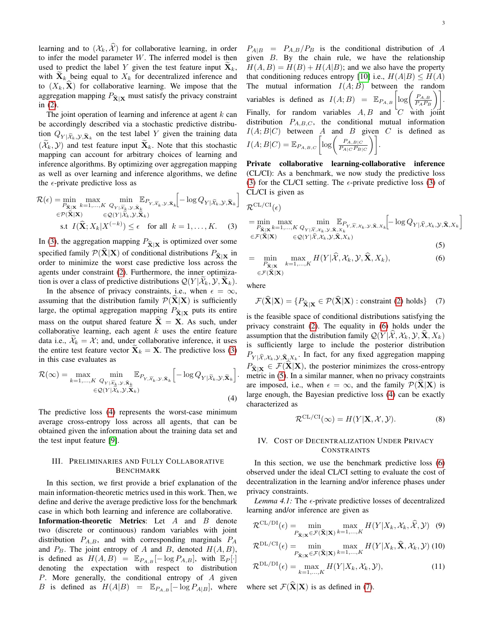learning and to  $(\mathcal{X}_k, \hat{\mathcal{X}})$  for collaborative learning, in order to infer the model parameter  $W$ . The inferred model is then used to predict the label Y given the test feature input  $X_k$ , with  $X_k$  being equal to  $X_k$  for decentralized inference and to  $(X_k, \mathbf{X})$  for collaborative learning. We impose that the aggregation mapping  $P_{\hat{\mathbf{X}}|\mathbf{X}}$  must satisfy the privacy constraint in [\(2\)](#page-1-0).

The joint operation of learning and inference at agent  $k$  can be accordingly described via a stochastic predictive distribution  $Q_{Y|\widetilde{X}_k, y, \widetilde{X}_k}$  on the test label Y given the training data  $(\widetilde{\mathcal{X}}_k, \mathcal{Y})$  and test feature input  $\widetilde{\mathbf{X}}_k$ . Note that this stochastic mapping can account for arbitrary choices of learning and inference algorithms. By optimizing over aggregation mapping as well as over learning and inference algorithms, we define the  $\epsilon$ -private predictive loss as

$$
\mathcal{R}(\epsilon) = \min_{P_{\tilde{\mathbf{X}}|\mathbf{X}}} \max_{k=1,\dots,K} \min_{Q_{Y|\tilde{X}_{k},\mathcal{Y},\tilde{\mathbf{X}}_{k}} \mathbb{E}_{P_{Y,\tilde{X}_{k},\mathcal{Y},\tilde{\mathbf{X}}_{k}}} \left[ -\log Q_{Y|\tilde{X}_{k},\mathcal{Y},\tilde{\mathbf{X}}_{k}} \right]
$$
\n
$$
\in \mathcal{P}(\hat{\mathbf{X}}|\mathbf{X}) \qquad \in \mathcal{Q}(Y|\tilde{X}_{k},\mathcal{Y},\tilde{\mathbf{X}}_{k})
$$
\n
$$
\text{s.t } I(\hat{\mathbf{X}}; X_{k}|X^{(-k)}) \le \epsilon \quad \text{for all } k = 1,\dots,K. \tag{3}
$$

In [\(3\)](#page-2-0), the aggregation mapping  $P_{\hat{\mathbf{X}}|\mathbf{X}}$  is optimized over some specified family  $\mathcal{P}(\mathbf{X}|\mathbf{X})$  of conditional distributions  $P_{\hat{\mathbf{X}}|\mathbf{X}}$  in order to minimize the worst case predictive loss across the agents under constraint [\(2\)](#page-1-0). Furthermore, the inner optimization is over a class of predictive distributions  $Q(Y | \mathcal{X}_k, \mathcal{Y}, \mathbf{X}_k)$ .

In the absence of privacy constraints, i.e., when  $\epsilon = \infty$ , assuming that the distribution family  $\mathcal{P}(\mathbf{X}|\mathbf{X})$  is sufficiently large, the optimal aggregation mapping  $P_{\hat{\mathbf{X}}|\mathbf{X}}$  puts its entire mass on the output shared feature  $\hat{\mathbf{X}} = \mathbf{X}$ . As such, under collaborative learning, each agent  $k$  uses the entire feature data i.e.,  $\mathcal{X}_k = \mathcal{X}$ ; and, under collaborative inference, it uses the entire test feature vector  $X_k = X$ . The predictive loss [\(3\)](#page-2-0) in this case evaluates as

$$
\mathcal{R}(\infty) = \max_{k=1,\dots,K} \min_{\substack{Q_{Y|\widetilde{X}_{k},\mathcal{Y},\widetilde{\mathbf{X}}_{k}} \\ \in \mathcal{Q}(Y|\widetilde{\mathcal{X}}_{k},\mathcal{Y},\widetilde{\mathbf{X}}_{k})}} \mathbb{E}_{P_{Y,\widetilde{X}_{k},\mathcal{Y},\widetilde{\mathbf{X}}_{k}}} \left[ -\log Q_{Y|\widetilde{\mathcal{X}}_{k},\mathcal{Y},\widetilde{\mathbf{X}}_{k}} \right].
$$
\n(4)

The predictive loss [\(4\)](#page-2-1) represents the worst-case minimum average cross-entropy loss across all agents, that can be obtained given the information about the training data set and the test input feature [\[9\]](#page-4-8).

# III. PRELIMINARIES AND FULLY COLLABORATIVE BENCHMARK

In this section, we first provide a brief explanation of the main information-theoretic metrics used in this work. Then, we define and derive the average predictive loss for the benchmark case in which both learning and inference are collaborative. **Information-theoretic Metrics:** Let  $A$  and  $B$  denote two (discrete or continuous) random variables with joint distribution  $P_{A,B}$ , and with corresponding marginals  $P_A$ and  $P_B$ . The joint entropy of A and B, denoted  $H(A, B)$ , is defined as  $H(A, B) = \mathbb{E}_{P_{A,B}}[-\log P_{A,B}],$  with  $\mathbb{E}_P[\cdot]$ denoting the expectation with respect to distribution P. More generally, the conditional entropy of A given B is defined as  $H(A|B) = \mathbb{E}_{P_{A,B}}[-\log P_{A|B}]$ , where  $P_{A|B}$  =  $P_{A,B}/P_B$  is the conditional distribution of A given B. By the chain rule, we have the relationship  $H(A, B) = H(B) + H(A|B)$ ; and we also have the property that conditioning reduces entropy [\[10\]](#page-4-9) i.e.,  $H(A|B) \leq H(A)$ The mutual information  $I(A;B)$  between the random variables is defined as  $I(A;B) = \mathbb{E}_{P_{A,B}} \left[ \log \left( \frac{P_{A,B}}{P_{A,P_{B}}} \right) \right]$  $\left.\frac{P_{A,B}}{P_{A}P_{B}}\right)\right].$ Finally, for random variables  $A, B$  and  $C$  with joint distribution  $P_{A,B,C}$ , the conditional mutual information  $I(A;B|C)$  between A and B given C is defined as  $I(A;B|C) = \mathbb{E}_{P_{A,B,C}}\left[ \log \left( \frac{P_{A,B|C}}{P_{A|C}P_{B}} \right) \right]$  $\frac{P_{A,B|C}}{P_{A|C}P_{B|C}}\Bigg)\Bigg].$ 

Private collaborative learning-collaborative inference (CL/CI): As a benchmark, we now study the predictive loss [\(3\)](#page-2-0) for the CL/CI setting. The  $\epsilon$ -private predictive loss (3) of CL/CI is given as

$$
\mathcal{R}^{\mathrm{CL/CI}}(\epsilon)
$$

<span id="page-2-0"></span>
$$
= \min_{P_{\hat{\mathbf{X}}|\mathbf{X}}} \max_{k=1,\ldots,K} \min_{Q_{Y|\widehat{\mathcal{X}},X_k,\mathcal{Y},\widehat{\mathbf{X}},X_k}} \mathbb{E}_{P_{Y,\widehat{\mathcal{X}},X_k,\mathcal{Y},\widehat{\mathbf{X}},X_k}}[-\log Q_{Y|\widehat{\mathcal{X}},X_k,\mathcal{Y},\widehat{\mathbf{X}},X_k}]
$$
  

$$
\in \mathcal{F}(\widehat{\mathbf{x}}|\mathbf{X}) \qquad \in \mathcal{Q}(Y|\widehat{\mathcal{X}},X_k,\mathcal{Y},\widehat{\mathbf{X}},X_k)
$$
\n(5)

<span id="page-2-3"></span>
$$
= \min_{\substack{P_{\hat{\mathbf{X}}|\mathbf{X}\\ \in \mathcal{F}(\hat{\mathbf{X}}|\mathbf{X})}} \max_{k=1,\dots,K} H(Y|\hat{\mathcal{X}}, \mathcal{X}_k, \mathcal{Y}, \hat{\mathbf{X}}, X_k),
$$
(6)

where

<span id="page-2-4"></span><span id="page-2-2"></span>
$$
\mathcal{F}(\widehat{\mathbf{X}}|\mathbf{X}) = \{P_{\widehat{\mathbf{X}}|\mathbf{X}} \in \mathcal{P}(\widehat{\mathbf{X}}|\mathbf{X}) : \text{constraint (2) holds}\} \quad (7)
$$

is the feasible space of conditional distributions satisfying the privacy constraint [\(2\)](#page-1-0). The equality in [\(6\)](#page-2-2) holds under the assumption that the distribution family  $\mathcal{Q}(Y|\mathcal{X}, \mathcal{X}_k, \mathcal{Y}, \mathbf{X}, X_k)$ is sufficiently large to include the posterior distribution  $P_{Y|\hat{\mathcal{X}},\mathcal{X}_k,\mathcal{Y},\hat{\mathbf{X}}_k,\mathcal{X}_k}$ . In fact, for any fixed aggregation mapping  $P_{\hat{\mathbf{X}}|\mathbf{X}} \in \mathcal{F}(\mathbf{X}|\mathbf{X})$ , the posterior minimizes the cross-entropy metric in [\(5\)](#page-2-3). In a similar manner, when no privacy constraints are imposed, i.e., when  $\epsilon = \infty$ , and the family  $\mathcal{P}(\mathbf{X}|\mathbf{X})$  is large enough, the Bayesian predictive loss [\(4\)](#page-2-1) can be exactly characterized as

<span id="page-2-6"></span>
$$
\mathcal{R}^{\mathrm{CL/CI}}(\infty) = H(Y|\mathbf{X}, \mathcal{X}, \mathcal{Y}). \tag{8}
$$

## <span id="page-2-8"></span><span id="page-2-1"></span>IV. COST OF DECENTRALIZATION UNDER PRIVACY CONSTRAINTS

In this section, we use the benchmark predictive loss [\(6\)](#page-2-2) observed under the ideal CL/CI setting to evaluate the cost of decentralization in the learning and/or inference phases under privacy constraints.

<span id="page-2-9"></span>*Lemma 4.1:* The  $\epsilon$ -private predictive losses of decentralized learning and/or inference are given as

$$
\mathcal{R}^{\mathrm{CL}/\mathrm{DI}}(\epsilon) = \min_{P_{\hat{\mathbf{X}}|\mathbf{X}} \in \mathcal{F}(\hat{\mathbf{X}}|\mathbf{X})} \max_{k=1,\dots,K} H(Y|X_k, \mathcal{X}_k, \widehat{\mathcal{X}}, \mathcal{Y}) \quad (9)
$$

<span id="page-2-7"></span><span id="page-2-5"></span>
$$
\mathcal{R}^{\mathrm{DL/CI}}(\epsilon) = \min_{P_{\hat{\mathbf{X}}|\mathbf{x}} \in \mathcal{F}(\hat{\mathbf{X}}|\mathbf{X})} \max_{k=1,\dots,K} H(Y|X_k, \hat{\mathbf{X}}, \mathcal{X}_k, \mathcal{Y}) \tag{10}
$$

$$
\mathcal{R}^{\mathrm{DL}/\mathrm{DI}}(\epsilon) = \max_{k=1,\ldots,K} H(Y|X_k, \mathcal{X}_k, \mathcal{Y}),\tag{11}
$$

where set  $\mathcal{F}(\hat{\mathbf{X}}|\mathbf{X})$  is as defined in [\(7\)](#page-2-4).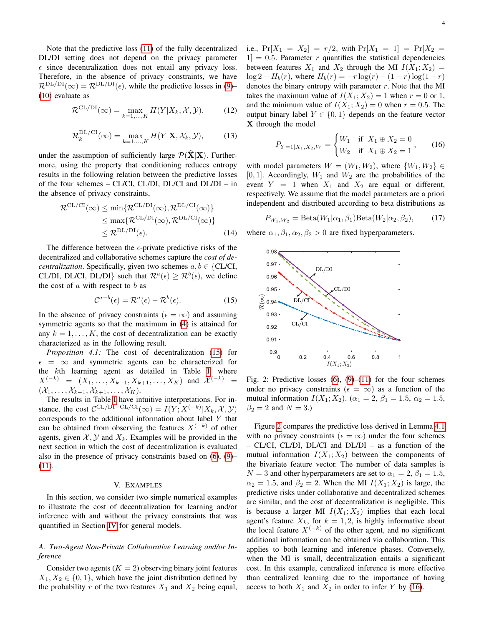Note that the predictive loss [\(11\)](#page-2-5) of the fully decentralized DL/DI setting does not depend on the privacy parameter  $\epsilon$  since decentralization does not entail any privacy loss. Therefore, in the absence of privacy constraints, we have  $\mathcal{R}^{DL/DI}(\infty) = \mathcal{R}^{DL/DI}(\epsilon)$ , while the predictive losses in [\(9\)](#page-2-6)– [\(10\)](#page-2-7) evaluate as

$$
\mathcal{R}^{\mathrm{CL}/\mathrm{DI}}(\infty) = \max_{k=1,\dots,K} H(Y|X_k, \mathcal{X}, \mathcal{Y}),\tag{12}
$$

$$
\mathcal{R}_k^{\text{DL/CI}}(\infty) = \max_{k=1,\dots,K} H(Y|\mathbf{X}, \mathcal{X}_k, \mathcal{Y}),\tag{13}
$$

under the assumption of sufficiently large  $\mathcal{P}(\widehat{\mathbf{X}}|\mathbf{X})$ . Furthermore, using the property that conditioning reduces entropy results in the following relation between the predictive losses of the four schemes – CL/CI, CL/DI, DL/CI and DL/DI – in the absence of privacy constraints,

$$
\mathcal{R}^{\mathrm{CL/CI}}(\infty) \le \min \{ \mathcal{R}^{\mathrm{CL/DI}}(\infty), \mathcal{R}^{\mathrm{DL/CI}}(\infty) \} \\
\le \max \{ \mathcal{R}^{\mathrm{CL/DI}}(\infty), \mathcal{R}^{\mathrm{DL/CI}}(\infty) \} \\
\le \mathcal{R}^{\mathrm{DL/DI}}(\epsilon).
$$
\n(14)

The difference between the  $\epsilon$ -private predictive risks of the decentralized and collaborative schemes capture the *cost of decentralization.* Specifically, given two schemes  $a, b \in \{CL/CI,$ CL/DI, DL/CI, DL/DI} such that  $\mathcal{R}^{a}(\epsilon) \geq \mathcal{R}^{b}(\epsilon)$ , we define the cost of  $a$  with respect to  $b$  as

$$
\mathcal{C}^{a-b}(\epsilon) = \mathcal{R}^a(\epsilon) - \mathcal{R}^b(\epsilon). \tag{15}
$$

In the absence of privacy constraints ( $\epsilon = \infty$ ) and assuming symmetric agents so that the maximum in [\(4\)](#page-2-1) is attained for any  $k = 1, \ldots, K$ , the cost of decentralization can be exactly characterized as in the following result.

*Proposition 4.1:* The cost of decentralization [\(15\)](#page-3-0) for  $\epsilon = \infty$  and symmetric agents can be characterized for the kth learning agent as detailed in Table [I,](#page-4-10) where  $X^{(-k)} = (X_1, \ldots, X_{k-1}, X_{k+1}, \ldots, X_K)$  and  $\mathcal{X}^{(-k)} =$  $(\mathcal{X}_1, \ldots, \mathcal{X}_{k-1}, \mathcal{X}_{k+1}, \ldots, \mathcal{X}_K).$ 

The results in Table [I](#page-4-10) have intuitive interpretations. For instance, the cost  $C^{\text{CL/DI-CL/CI}}(\infty) = I(Y; X^{(-k)} | X_k, \mathcal{X}, \mathcal{Y})$ corresponds to the additional information about label  $Y$  that can be obtained from observing the features  $X^{(-k)}$  of other agents, given  $\mathcal{X}, \mathcal{Y}$  and  $X_k$ . Examples will be provided in the next section in which the cost of decentralization is evaluated also in the presence of privacy constraints based on [\(6\)](#page-2-2), [\(9\)](#page-2-6)– [\(11\)](#page-2-5).

#### V. EXAMPLES

In this section, we consider two simple numerical examples to illustrate the cost of decentralization for learning and/or inference with and without the privacy constraints that was quantified in Section [IV](#page-2-8) for general models.

# <span id="page-3-3"></span>*A. Two-Agent Non-Private Collaborative Learning and/or Inference*

Consider two agents  $(K = 2)$  observing binary joint features  $X_1, X_2 \in \{0, 1\}$ , which have the joint distribution defined by the probability r of the two features  $X_1$  and  $X_2$  being equal, i.e.,  $Pr[X_1 = X_2] = r/2$ , with  $Pr[X_1 = 1] = Pr[X_2 =$  $|1| = 0.5$ . Parameter r quantifies the statistical dependencies between features  $X_1$  and  $X_2$  through the MI  $I(X_1; X_2) =$  $\log 2 - H_b(r)$ , where  $H_b(r) = -r \log(r) - (1 - r) \log(1 - r)$ denotes the binary entropy with parameter  $r$ . Note that the MI takes the maximum value of  $I(X_1; X_2) = 1$  when  $r = 0$  or 1, and the minimum value of  $I(X_1; X_2) = 0$  when  $r = 0.5$ . The output binary label  $Y \in \{0, 1\}$  depends on the feature vector X through the model

<span id="page-3-2"></span>
$$
P_{Y=1|X_1,X_2,W} = \begin{cases} W_1 & \text{if } X_1 \oplus X_2 = 0 \\ W_2 & \text{if } X_1 \oplus X_2 = 1 \end{cases}, \quad (16)
$$

with model parameters  $W = (W_1, W_2)$ , where  $\{W_1, W_2\} \in$  $[0, 1]$ . Accordingly,  $W_1$  and  $W_2$  are the probabilities of the event  $Y = 1$  when  $X_1$  and  $X_2$  are equal or different, respectively. We assume that the model parameters are a priori independent and distributed according to beta distributions as

<span id="page-3-4"></span>
$$
P_{W_1,W_2} = \text{Beta}(W_1|\alpha_1, \beta_1)\text{Beta}(W_2|\alpha_2, \beta_2),\tag{17}
$$

where  $\alpha_1, \beta_1, \alpha_2, \beta_2 > 0$  are fixed hyperparameters.

<span id="page-3-1"></span><span id="page-3-0"></span>

Fig. 2: Predictive losses  $(6)$ ,  $(9)$ – $(11)$  for the four schemes under no privacy constraints ( $\epsilon = \infty$ ) as a function of the mutual information  $I(X_1; X_2)$ . ( $\alpha_1 = 2$ ,  $\beta_1 = 1.5$ ,  $\alpha_2 = 1.5$ ,  $\beta_2 = 2$  and  $N = 3.$ )

Figure [2](#page-3-1) compares the predictive loss derived in Lemma [4.1](#page-2-9) with no privacy constraints ( $\epsilon = \infty$ ) under the four schemes – CL/CI, CL/DI, DL/CI and DL/DI – as a function of the mutual information  $I(X_1; X_2)$  between the components of the bivariate feature vector. The number of data samples is  $N = 3$  and other hyperparameters are set to  $\alpha_1 = 2$ ,  $\beta_1 = 1.5$ ,  $\alpha_2 = 1.5$ , and  $\beta_2 = 2$ . When the MI  $I(X_1; X_2)$  is large, the predictive risks under collaborative and decentralized schemes are similar, and the cost of decentralization is negligible. This is because a larger MI  $I(X_1; X_2)$  implies that each local agent's feature  $X_k$ , for  $k = 1, 2$ , is highly informative about the local feature  $X^{(-k)}$  of the other agent, and no significant additional information can be obtained via collaboration. This applies to both learning and inference phases. Conversely, when the MI is small, decentralization entails a significant cost. In this example, centralized inference is more effective than centralized learning due to the importance of having access to both  $X_1$  and  $X_2$  in order to infer Y by [\(16\)](#page-3-2).